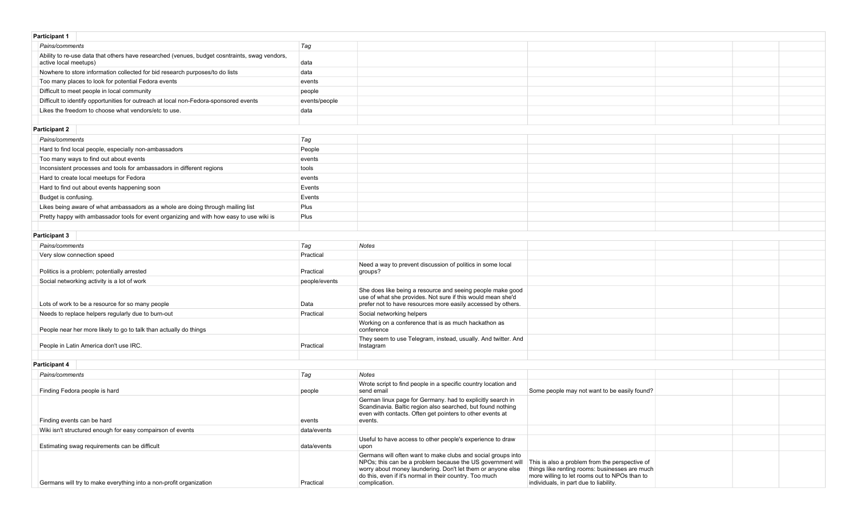| <b>Participant 1</b>                                                                                                   |               |                                                                                                                                                                                                                                                                       |                                                                                                                                                                                             |  |
|------------------------------------------------------------------------------------------------------------------------|---------------|-----------------------------------------------------------------------------------------------------------------------------------------------------------------------------------------------------------------------------------------------------------------------|---------------------------------------------------------------------------------------------------------------------------------------------------------------------------------------------|--|
| Pains/comments                                                                                                         | Tag           |                                                                                                                                                                                                                                                                       |                                                                                                                                                                                             |  |
| Ability to re-use data that others have researched (venues, budget cosntraints, swag vendors,<br>active local meetups) | data          |                                                                                                                                                                                                                                                                       |                                                                                                                                                                                             |  |
| Nowhere to store information collected for bid research purposes/to do lists                                           | data          |                                                                                                                                                                                                                                                                       |                                                                                                                                                                                             |  |
| Too many places to look for potential Fedora events                                                                    | events        |                                                                                                                                                                                                                                                                       |                                                                                                                                                                                             |  |
| Difficult to meet people in local community                                                                            | people        |                                                                                                                                                                                                                                                                       |                                                                                                                                                                                             |  |
| Difficult to identify opportunities for outreach at local non-Fedora-sponsored events                                  | events/people |                                                                                                                                                                                                                                                                       |                                                                                                                                                                                             |  |
| Likes the freedom to choose what vendors/etc to use.                                                                   | data          |                                                                                                                                                                                                                                                                       |                                                                                                                                                                                             |  |
|                                                                                                                        |               |                                                                                                                                                                                                                                                                       |                                                                                                                                                                                             |  |
| <b>Participant 2</b>                                                                                                   |               |                                                                                                                                                                                                                                                                       |                                                                                                                                                                                             |  |
| Pains/comments                                                                                                         | Tag           |                                                                                                                                                                                                                                                                       |                                                                                                                                                                                             |  |
| Hard to find local people, especially non-ambassadors                                                                  | People        |                                                                                                                                                                                                                                                                       |                                                                                                                                                                                             |  |
| Too many ways to find out about events                                                                                 | events        |                                                                                                                                                                                                                                                                       |                                                                                                                                                                                             |  |
| Inconsistent processes and tools for ambassadors in different regions                                                  | tools         |                                                                                                                                                                                                                                                                       |                                                                                                                                                                                             |  |
| Hard to create local meetups for Fedora                                                                                | events        |                                                                                                                                                                                                                                                                       |                                                                                                                                                                                             |  |
| Hard to find out about events happening soon                                                                           | Events        |                                                                                                                                                                                                                                                                       |                                                                                                                                                                                             |  |
| Budget is confusing.                                                                                                   | Events        |                                                                                                                                                                                                                                                                       |                                                                                                                                                                                             |  |
| Likes being aware of what ambassadors as a whole are doing through mailing list                                        | Plus          |                                                                                                                                                                                                                                                                       |                                                                                                                                                                                             |  |
| Pretty happy with ambassador tools for event organizing and with how easy to use wiki is                               | Plus          |                                                                                                                                                                                                                                                                       |                                                                                                                                                                                             |  |
|                                                                                                                        |               |                                                                                                                                                                                                                                                                       |                                                                                                                                                                                             |  |
| <b>Participant 3</b>                                                                                                   |               |                                                                                                                                                                                                                                                                       |                                                                                                                                                                                             |  |
| Pains/comments                                                                                                         | Tag           | Notes                                                                                                                                                                                                                                                                 |                                                                                                                                                                                             |  |
| Very slow connection speed                                                                                             | Practical     |                                                                                                                                                                                                                                                                       |                                                                                                                                                                                             |  |
|                                                                                                                        |               | Need a way to prevent discussion of politics in some local                                                                                                                                                                                                            |                                                                                                                                                                                             |  |
| Politics is a problem; potentially arrested                                                                            | Practical     | groups?                                                                                                                                                                                                                                                               |                                                                                                                                                                                             |  |
| Social networking activity is a lot of work                                                                            | people/events |                                                                                                                                                                                                                                                                       |                                                                                                                                                                                             |  |
| Lots of work to be a resource for so many people                                                                       | Data          | She does like being a resource and seeing people make good<br>use of what she provides. Not sure if this would mean she'd<br>prefer not to have resources more easily accessed by others.                                                                             |                                                                                                                                                                                             |  |
| Needs to replace helpers regularly due to burn-out                                                                     | Practical     | Social networking helpers                                                                                                                                                                                                                                             |                                                                                                                                                                                             |  |
| People near her more likely to go to talk than actually do things                                                      |               | Working on a conference that is as much hackathon as<br>conference                                                                                                                                                                                                    |                                                                                                                                                                                             |  |
| People in Latin America don't use IRC.                                                                                 | Practical     | They seem to use Telegram, instead, usually. And twitter. And<br>Instagram                                                                                                                                                                                            |                                                                                                                                                                                             |  |
|                                                                                                                        |               |                                                                                                                                                                                                                                                                       |                                                                                                                                                                                             |  |
| <b>Participant 4</b>                                                                                                   |               |                                                                                                                                                                                                                                                                       |                                                                                                                                                                                             |  |
| Pains/comments                                                                                                         | Tag           | <b>Notes</b>                                                                                                                                                                                                                                                          |                                                                                                                                                                                             |  |
| Finding Fedora people is hard                                                                                          | people        | Wrote script to find people in a specific country location and<br>send email                                                                                                                                                                                          | Some people may not want to be easily found?                                                                                                                                                |  |
| Finding events can be hard                                                                                             | events        | German linux page for Germany. had to explicitly search in<br>Scandinavia. Baltic region also searched, but found nothing<br>even with contacts. Often get pointers to other events at<br>events.                                                                     |                                                                                                                                                                                             |  |
| Wiki isn't structured enough for easy compairson of events                                                             | data/events   |                                                                                                                                                                                                                                                                       |                                                                                                                                                                                             |  |
| Estimating swag requirements can be difficult                                                                          | data/events   | Useful to have access to other people's experience to draw<br>upon                                                                                                                                                                                                    |                                                                                                                                                                                             |  |
| Germans will try to make everything into a non-profit organization                                                     | Practical     | Germans will often want to make clubs and social groups into<br>NPOs; this can be a problem because the US government will<br>worry about money laundering. Don't let them or anyone else<br>do this, even if it's normal in their country. Too much<br>complication. | This is also a problem from the perspective of<br>things like renting rooms: businesses are much<br>more willing to let rooms out to NPOs than to<br>individuals, in part due to liability. |  |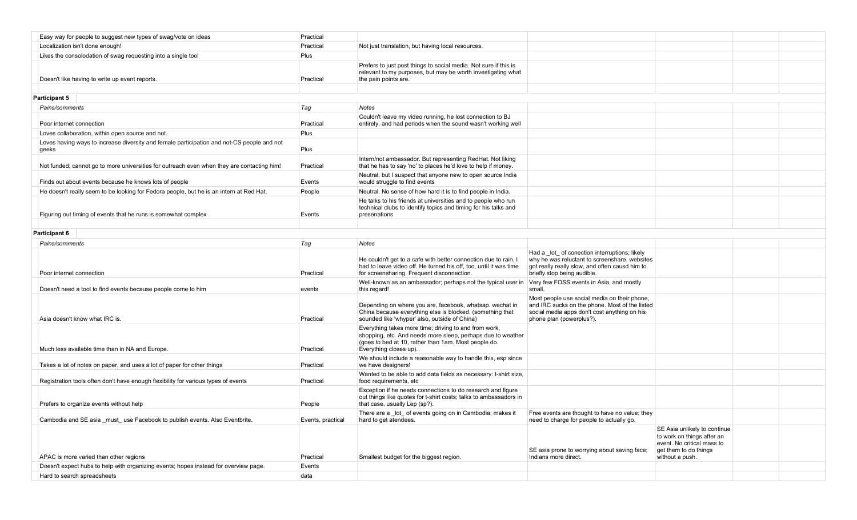| Easy way for people to suggest new types of swag/vote on ideas                                      | Practical         |                                                                                                                                                                                                        |                                                                                                                                                                                  |                                                                                                                                      |  |
|-----------------------------------------------------------------------------------------------------|-------------------|--------------------------------------------------------------------------------------------------------------------------------------------------------------------------------------------------------|----------------------------------------------------------------------------------------------------------------------------------------------------------------------------------|--------------------------------------------------------------------------------------------------------------------------------------|--|
| Localization isn't done enough!                                                                     | Practical         | Not just translation, but having local resources.                                                                                                                                                      |                                                                                                                                                                                  |                                                                                                                                      |  |
| Likes the consolodation of swag requesting into a single tool                                       | Plus              |                                                                                                                                                                                                        |                                                                                                                                                                                  |                                                                                                                                      |  |
| Doesn't like having to write up event reports.                                                      | Practical         | Prefers to just post things to social media. Not sure if this is<br>relevant to my purposes, but may be worth investigating what<br>the pain points are.                                               |                                                                                                                                                                                  |                                                                                                                                      |  |
| <b>Participant 5</b>                                                                                |                   |                                                                                                                                                                                                        |                                                                                                                                                                                  |                                                                                                                                      |  |
| Pains/comments                                                                                      | Tag               | Notes                                                                                                                                                                                                  |                                                                                                                                                                                  |                                                                                                                                      |  |
| Poor internet connection                                                                            | Practical         | Couldn't leave my video running, he lost connection to BJ<br>entirely, and had periods when the sound wasn't working well                                                                              |                                                                                                                                                                                  |                                                                                                                                      |  |
| Loves collaboration, within open source and not.                                                    | Plus              |                                                                                                                                                                                                        |                                                                                                                                                                                  |                                                                                                                                      |  |
| Loves having ways to increase diversity and female participation and not-CS people and not<br>geeks | Plus              |                                                                                                                                                                                                        |                                                                                                                                                                                  |                                                                                                                                      |  |
| Not funded; cannot go to more universities for outreach even when they are contacting him!          | Practical         | Intern/not ambassador. But representing RedHat. Not liking<br>that he has to say 'no' to places he'd love to help if money.                                                                            |                                                                                                                                                                                  |                                                                                                                                      |  |
| Finds out about events because he knows lots of people                                              | Events            | Neutral, but I suspect that anyone new to open source India<br>would struggle to find events                                                                                                           |                                                                                                                                                                                  |                                                                                                                                      |  |
| He doesn't really seem to be looking for Fedora people, but he is an intern at Red Hat.             | People            | Neutral. No sense of how hard it is to find people in India.                                                                                                                                           |                                                                                                                                                                                  |                                                                                                                                      |  |
| Figuring out timing of events that he runs is somewhat complex                                      | Events            | He talks to his friends at universities and to people who run<br>technical clubs to identify topics and timing for his talks and<br>presenations                                                       |                                                                                                                                                                                  |                                                                                                                                      |  |
|                                                                                                     |                   |                                                                                                                                                                                                        |                                                                                                                                                                                  |                                                                                                                                      |  |
| <b>Participant 6</b>                                                                                |                   |                                                                                                                                                                                                        |                                                                                                                                                                                  |                                                                                                                                      |  |
| Pains/comments                                                                                      | Tag               | <b>Notes</b>                                                                                                                                                                                           |                                                                                                                                                                                  |                                                                                                                                      |  |
| Poor internet connection                                                                            | Practical         | He couldn't get to a cafe with better connection due to rain. I<br>had to leave video off. He turned his off, too, until it was time<br>for screensharing. Frequent disconnection.                     | Had a _lot_ of conection interruptions; likely<br>why he was reluctant to screenshare. websites<br>got really really slow, and often causd him to<br>briefly stop being audible. |                                                                                                                                      |  |
| Doesn't need a tool to find events because people come to him                                       | events            | Well-known as an ambassador; perhaps not the typical user in<br>this regard!                                                                                                                           | Very few FOSS events in Asia, and mostly<br>small.                                                                                                                               |                                                                                                                                      |  |
| Asia doesn't know what IRC is.                                                                      | Practical         | Depending on where you are, facebook, whatsap. wechat in<br>China because everything else is blocked. (something that<br>sounded like 'whyper' also, outside of China)                                 | Most people use social media on their phone,<br>and IRC sucks on the phone. Most of the listed<br>social media apps don't cost anything on his<br>phone plan (powerplus?).       |                                                                                                                                      |  |
| Much less available time than in NA and Europe.                                                     | Practical         | Everything takes more time; driving to and from work,<br>shopping, etc. And needs more sleep, perhaps due to weather<br>(goes to bed at 10, rather than 1am. Most people do.<br>Everything closes up). |                                                                                                                                                                                  |                                                                                                                                      |  |
| Takes a lot of notes on paper, and uses a lot of paper for other things                             | Practical         | We should include a reasonable way to handle this, esp since<br>we have designers!                                                                                                                     |                                                                                                                                                                                  |                                                                                                                                      |  |
| Registration tools often don't have enough flexibility for various types of events                  | Practical         | Wanted to be able to add data fields as necessary: t-shirt size,<br>food requirements, etc                                                                                                             |                                                                                                                                                                                  |                                                                                                                                      |  |
| Prefers to organize events without help                                                             | People            | Exception if he needs connections to do research and figure<br>out things like quotes for t-shirt costs; talks to ambassadors in<br>that case, usually Lep (sp?).                                      |                                                                                                                                                                                  |                                                                                                                                      |  |
| Cambodia and SE asia must use Facebook to publish events. Also Eventbrite.                          | Events, practical | There are a _lot_ of events going on in Cambodia; makes it Free events are thought to have no value; they<br>hard to get atendees.                                                                     | need to charge for people to actually go.                                                                                                                                        |                                                                                                                                      |  |
| APAC is more varied than other regions                                                              | Practical         | Smallest budget for the biggest region.                                                                                                                                                                | SE asia prone to worrying about saving face;<br>Indians more direct.                                                                                                             | SE Asia unlikely to continue<br>to work on things after an<br>event. No critical mass to<br>get them to do things<br>without a push. |  |
| Doesn't expect hubs to help with organizing events; hopes instead for overview page.                | Events            |                                                                                                                                                                                                        |                                                                                                                                                                                  |                                                                                                                                      |  |
| Hard to search spreadsheets                                                                         | data              |                                                                                                                                                                                                        |                                                                                                                                                                                  |                                                                                                                                      |  |